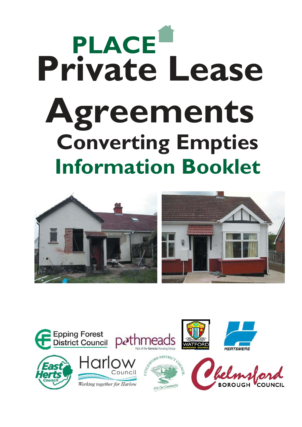# **PLACE Information Booklet Private Lease Agreements Converting Empties**



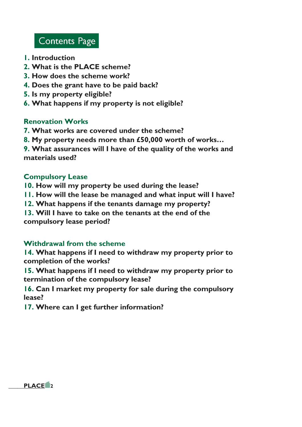# **Contents Page**

- **1. Introduction**
- **2. What is the PLACE scheme?**
- **3. How does the scheme work?**
- **4. Does the grant have to be paid back?**
- **5. Is my property eligible?**
- **6. What happens if my property is not eligible?**

#### **Renovation Works**

- **7. What works are covered under the scheme?**
- **8. My property needs more than £50,000 worth of works…**

**9. What assurances will I have of the quality of the works and materials used?** 

#### **Compulsory Lease**

- **10. How will my property be used during the lease?**
- **11. How will the lease be managed and what input will I have?**
- **12. What happens if the tenants damage my property?**
- **13. Will I have to take on the tenants at the end of the**

**compulsory lease period?** 

#### **Withdrawal from the scheme**

**14. What happens if I need to withdraw my property prior to completion of the works?** 

**15. What happens if I need to withdraw my property prior to termination of the compulsory lease?** 

**16. Can I market my property for sale during the compulsory lease?** 

**17. Where can I get further information?** 

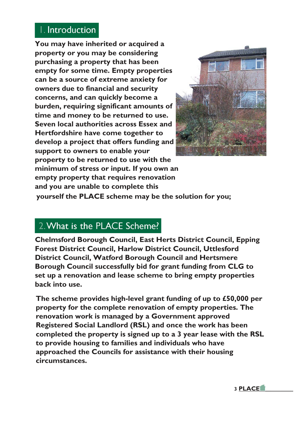# I. Introduction

**You may have inherited or acquired a property or you may be considering purchasing a property that has been empty for some time. Empty properties can be a source of extreme anxiety for owners due to financial and security concerns, and can quickly become a burden, requiring significant amounts of time and money to be returned to use. Seven local authorities across Essex and Hertfordshire have come together to develop a project that offers funding and support to owners to enable your property to be returned to use with the minimum of stress or input. If you own an empty property that requires renovation and you are unable to complete this** 



**yourself the PLACE scheme may be the solution for you;** 

#### 2. What is the PLACE Scheme?

**Chelmsford Borough Council, East Herts District Council, Epping Forest District Council, Harlow District Council, Uttlesford District Council, Watford Borough Council and Hertsmere Borough Council successfully bid for grant funding from CLG to set up a renovation and lease scheme to bring empty properties back into use.** 

**The scheme provides high-level grant funding of up to £50,000 per property for the complete renovation of empty properties. The renovation work is managed by a Government approved Registered Social Landlord (RSL) and once the work has been completed the property is signed up to a 3 year lease with the RSL to provide housing to families and individuals who have approached the Councils for assistance with their housing circumstances.**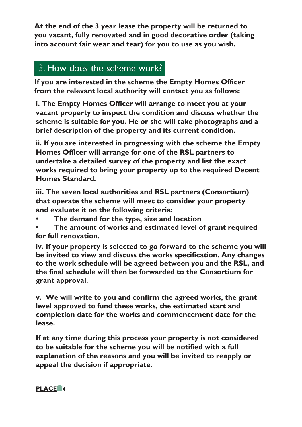**At the end of the 3 year lease the property will be returned to you vacant, fully renovated and in good decorative order (taking into account fair wear and tear) for you to use as you wish.** 

## 3. How does the scheme work?

**If you are interested in the scheme the Empty Homes Officer from the relevant local authority will contact you as follows:** 

**i. The Empty Homes Officer will arrange to meet you at your vacant property to inspect the condition and discuss whether the scheme is suitable for you. He or she will take photographs and a brief description of the property and its current condition.** 

**ii. If you are interested in progressing with the scheme the Empty Homes Officer will arrange for one of the RSL partners to undertake a detailed survey of the property and list the exact works required to bring your property up to the required Decent Homes Standard.** 

**iii. The seven local authorities and RSL partners (Consortium) that operate the scheme will meet to consider your property and evaluate it on the following criteria:** 

- **• The demand for the type, size and location**
- **• The amount of works and estimated level of grant required for full renovation.**

**iv. If your property is selected to go forward to the scheme you will be invited to view and discuss the works specification. Any changes to the work schedule will be agreed between you and the RSL, and the final schedule will then be forwarded to the Consortium for grant approval.** 

**v. We will write to you and confirm the agreed works, the grant level approved to fund these works, the estimated start and completion date for the works and commencement date for the lease.** 

**If at any time during this process your property is not considered to be suitable for the scheme you will be notified with a full explanation of the reasons and you will be invited to reapply or appeal the decision if appropriate.** 

**\_\_\_\_\_\_\_\_\_PLACE 4**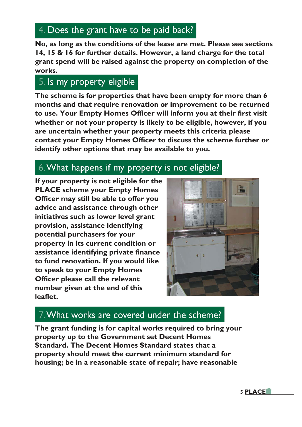## 4. Does the grant have to be paid back?

**No, as long as the conditions of the lease are met. Please see sections 14, 15 & 16 for further details. However, a land charge for the total grant spend will be raised against the property on completion of the works.** 

## 5. Is my property eligible

**The scheme is for properties that have been empty for more than 6 months and that require renovation or improvement to be returned to use. Your Empty Homes Officer will inform you at their first visit whether or not your property is likely to be eligible, however, if you are uncertain whether your property meets this criteria please contact your Empty Homes Officer to discuss the scheme further or identify other options that may be available to you.** 

## 6. What happens if my property is not eligible?

**If your property is not eligible for the PLACE scheme your Empty Homes Officer may still be able to offer you advice and assistance through other initiatives such as lower level grant provision, assistance identifying potential purchasers for your property in its current condition or assistance identifying private finance to fund renovation. If you would like to speak to your Empty Homes Officer please call the relevant number given at the end of this leaflet.** 



## 7. What works are covered under the scheme?

**The grant funding is for capital works required to bring your property up to the Government set Decent Homes Standard. The Decent Homes Standard states that a property should meet the current minimum standard for housing; be in a reasonable state of repair; have reasonable**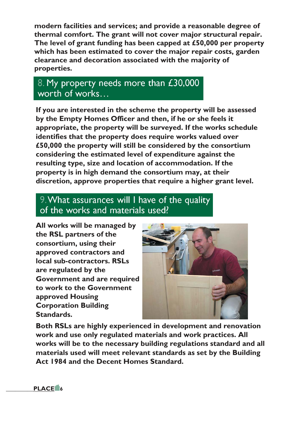**modern facilities and services; and provide a reasonable degree of thermal comfort. The grant will not cover major structural repair. The level of grant funding has been capped at £50,000 per property which has been estimated to cover the major repair costs, garden clearance and decoration associated with the majority of properties.** 

# 8. My property needs more than £30,000 worth of works...

**If you are interested in the scheme the property will be assessed by the Empty Homes Officer and then, if he or she feels it appropriate, the property will be surveyed. If the works schedule identifies that the property does require works valued over £50,000 the property will still be considered by the consortium considering the estimated level of expenditure against the resulting type, size and location of accommodation. If the property is in high demand the consortium may, at their discretion, approve properties that require a higher grant level.** 

## 9. What assurances will I have of the quality of the works and materials used?

**All works will be managed by the RSL partners of the consortium, using their approved contractors and local sub-contractors. RSLs are regulated by the Government and are required to work to the Government approved Housing Corporation Building Standards.** 



**Both RSLs are highly experienced in development and renovation work and use only regulated materials and work practices. All works will be to the necessary building regulations standard and all materials used will meet relevant standards as set by the Building Act 1984 and the Decent Homes Standard.** 

**\_\_\_\_\_\_\_\_\_PLACE 6**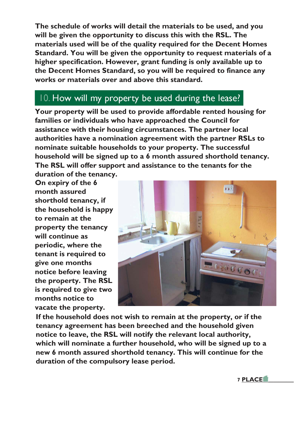**The schedule of works will detail the materials to be used, and you will be given the opportunity to discuss this with the RSL. The materials used will be of the quality required for the Decent Homes Standard. You will be given the opportunity to request materials of a higher specification. However, grant funding is only available up to the Decent Homes Standard, so you will be required to finance any works or materials over and above this standard.** 

# 10. How will my property be used during the lease?

**Your property will be used to provide affordable rented housing for families or individuals who have approached the Council for assistance with their housing circumstances. The partner local authorities have a nomination agreement with the partner RSLs to nominate suitable households to your property. The successful household will be signed up to a 6 month assured shorthold tenancy. The RSL will offer support and assistance to the tenants for the** 

**duration of the tenancy. On expiry of the 6 month assured shorthold tenancy, if the household is happy to remain at the property the tenancy will continue as periodic, where the tenant is required to give one months notice before leaving the property. The RSL is required to give two months notice to vacate the property.** 



**If the household does not wish to remain at the property, or if the tenancy agreement has been breeched and the household given notice to leave, the RSL will notify the relevant local authority, which will nominate a further household, who will be signed up to a new 6 month assured shorthold tenancy. This will continue for the duration of the compulsory lease period.**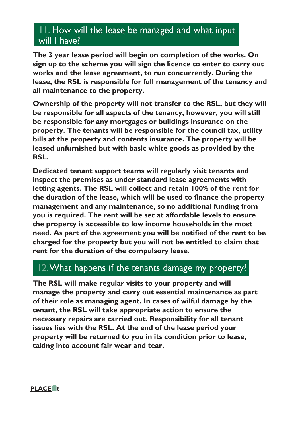## 11. How will the lease be managed and what input will I have?

**The 3 year lease period will begin on completion of the works. On sign up to the scheme you will sign the licence to enter to carry out works and the lease agreement, to run concurrently. During the lease, the RSL is responsible for full management of the tenancy and all maintenance to the property.** 

**Ownership of the property will not transfer to the RSL, but they will be responsible for all aspects of the tenancy, however, you will still be responsible for any mortgages or buildings insurance on the property. The tenants will be responsible for the council tax, utility bills at the property and contents insurance. The property will be leased unfurnished but with basic white goods as provided by the RSL.** 

**Dedicated tenant support teams will regularly visit tenants and inspect the premises as under standard lease agreements with letting agents. The RSL will collect and retain 100% of the rent for the duration of the lease, which will be used to finance the property management and any maintenance, so no additional funding from you is required. The rent will be set at affordable levels to ensure the property is accessible to low income households in the most need. As part of the agreement you will be notified of the rent to be charged for the property but you will not be entitled to claim that rent for the duration of the compulsory lease.** 

## 12. What happens if the tenants damage my property?

**The RSL will make regular visits to your property and will manage the property and carry out essential maintenance as part of their role as managing agent. In cases of wilful damage by the tenant, the RSL will take appropriate action to ensure the necessary repairs are carried out. Responsibility for all tenant issues lies with the RSL. At the end of the lease period your property will be returned to you in its condition prior to lease, taking into account fair wear and tear.**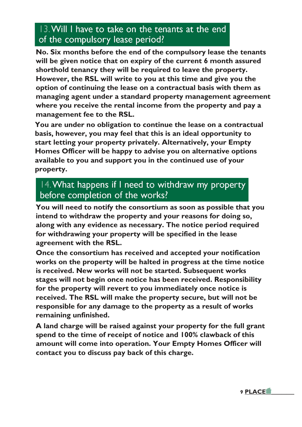## 13. Will I have to take on the tenants at the end of the compulsory lease period?

**No. Six months before the end of the compulsory lease the tenants will be given notice that on expiry of the current 6 month assured shorthold tenancy they will be required to leave the property. However, the RSL will write to you at this time and give you the option of continuing the lease on a contractual basis with them as managing agent under a standard property management agreement where you receive the rental income from the property and pay a management fee to the RSL.** 

**You are under no obligation to continue the lease on a contractual basis, however, you may feel that this is an ideal opportunity to start letting your property privately. Alternatively, your Empty Homes Officer will be happy to advise you on alternative options available to you and support you in the continued use of your property.** 

## 14. What happens if I need to withdraw my property before completion of the works?

**You will need to notify the consortium as soon as possible that you intend to withdraw the property and your reasons for doing so, along with any evidence as necessary. The notice period required for withdrawing your property will be specified in the lease agreement with the RSL.** 

**Once the consortium has received and accepted your notification works on the property will be halted in progress at the time notice is received. New works will not be started. Subsequent works stages will not begin once notice has been received. Responsibility for the property will revert to you immediately once notice is received. The RSL will make the property secure, but will not be responsible for any damage to the property as a result of works remaining unfinished.** 

**A land charge will be raised against your property for the full grant spend to the time of receipt of notice and 100% clawback of this amount will come into operation. Your Empty Homes Officer will contact you to discuss pay back of this charge.**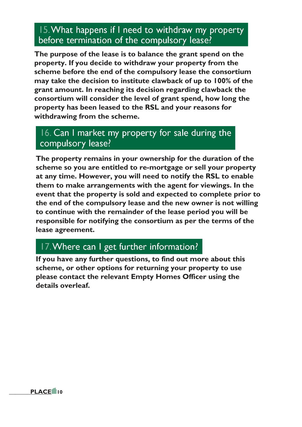## 15. What happens if I need to withdraw my property before termination of the compulsory lease?

**The purpose of the lease is to balance the grant spend on the property. If you decide to withdraw your property from the scheme before the end of the compulsory lease the consortium may take the decision to institute clawback of up to 100% of the grant amount. In reaching its decision regarding clawback the consortium will consider the level of grant spend, how long the property has been leased to the RSL and your reasons for withdrawing from the scheme.** 

#### 16. Can I market my property for sale during the compulsory lease?

**The property remains in your ownership for the duration of the scheme so you are entitled to re-mortgage or sell your property at any time. However, you will need to notify the RSL to enable them to make arrangements with the agent for viewings. In the event that the property is sold and expected to complete prior to the end of the compulsory lease and the new owner is not willing to continue with the remainder of the lease period you will be responsible for notifying the consortium as per the terms of the lease agreement.** 

# 17. Where can I get further information?

**If you have any further questions, to find out more about this scheme, or other options for returning your property to use please contact the relevant Empty Homes Officer using the details overleaf.**